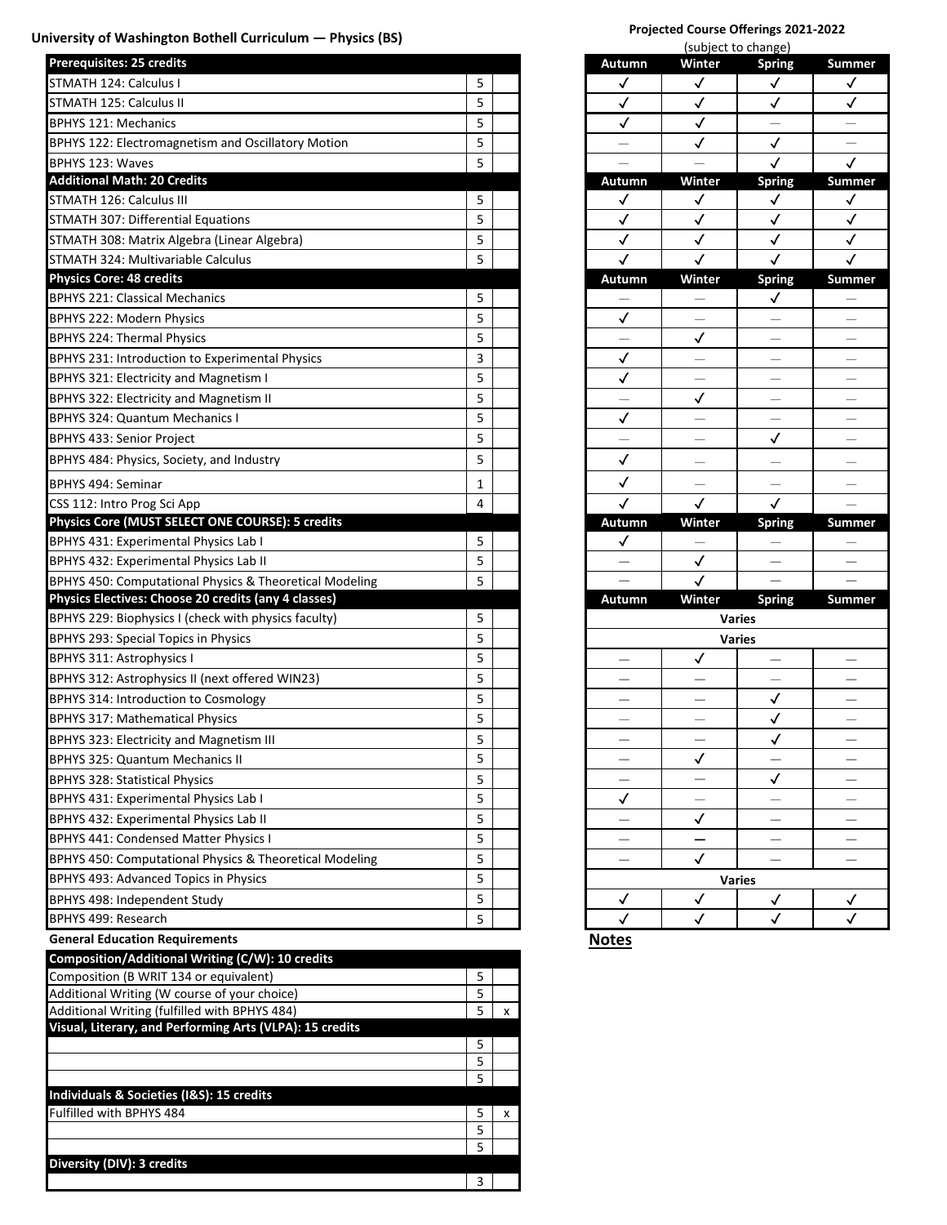# University of Washington Bothell Curriculum — Physics (BS)

| <b>Prerequisites: 25 credits</b>                        |   | <b>Autumn</b>            |               | Winter                   | <b>Spring</b>            | Sumr         |
|---------------------------------------------------------|---|--------------------------|---------------|--------------------------|--------------------------|--------------|
| STMATH 124: Calculus I                                  | 5 | ✓                        |               | ✓                        | ✓                        | $\checkmark$ |
| STMATH 125: Calculus II                                 | 5 | $\checkmark$             |               | ✓                        | $\checkmark$             | ✓            |
| <b>BPHYS 121: Mechanics</b>                             | 5 | ✓                        |               | ✓                        |                          |              |
| BPHYS 122: Electromagnetism and Oscillatory Motion      | 5 | $\overline{\phantom{0}}$ |               | $\checkmark$             | $\checkmark$             |              |
| BPHYS 123: Waves                                        | 5 |                          |               |                          | ✓                        | $\checkmark$ |
| <b>Additional Math: 20 Credits</b>                      |   | Autumn                   |               | Winter                   | <b>Spring</b>            | Sumr         |
| STMATH 126: Calculus III                                | 5 | ✓                        |               | $\checkmark$             | ✓                        | $\checkmark$ |
| STMATH 307: Differential Equations                      | 5 | $\checkmark$             |               | $\checkmark$             | $\checkmark$             | ✓            |
| STMATH 308: Matrix Algebra (Linear Algebra)             | 5 | ✓                        |               | $\checkmark$             | $\checkmark$             | ✓            |
| STMATH 324: Multivariable Calculus                      | 5 | $\checkmark$             |               | ✓                        | ✓                        | $\checkmark$ |
| <b>Physics Core: 48 credits</b>                         |   | Autumn                   |               | Winter                   | <b>Spring</b>            | Sumr         |
| <b>BPHYS 221: Classical Mechanics</b>                   | 5 |                          |               |                          | ✓                        |              |
| <b>BPHYS 222: Modern Physics</b>                        | 5 | $\checkmark$             |               | $\qquad \qquad -$        |                          |              |
| <b>BPHYS 224: Thermal Physics</b>                       | 5 |                          |               | $\checkmark$             |                          |              |
| BPHYS 231: Introduction to Experimental Physics         | 3 | ✓                        |               | $\overline{\phantom{0}}$ | $\overline{\phantom{0}}$ |              |
| BPHYS 321: Electricity and Magnetism I                  | 5 | $\checkmark$             |               | $\overline{\phantom{0}}$ |                          |              |
| BPHYS 322: Electricity and Magnetism II                 | 5 |                          |               | $\checkmark$             |                          |              |
| <b>BPHYS 324: Quantum Mechanics I</b>                   | 5 | ✓                        |               |                          |                          |              |
| <b>BPHYS 433: Senior Project</b>                        | 5 |                          |               |                          | ✓                        |              |
| BPHYS 484: Physics, Society, and Industry               | 5 | $\checkmark$             |               |                          |                          |              |
| BPHYS 494: Seminar                                      | 1 | $\checkmark$             |               |                          |                          |              |
| CSS 112: Intro Prog Sci App                             | 4 | $\checkmark$             |               | $\checkmark$             | $\checkmark$             |              |
| Physics Core (MUST SELECT ONE COURSE): 5 credits        |   | Autumn                   |               | Winter                   | <b>Spring</b>            | Sumr         |
| BPHYS 431: Experimental Physics Lab I                   | 5 | $\checkmark$             |               |                          |                          |              |
| BPHYS 432: Experimental Physics Lab II                  | 5 | $\overline{\phantom{0}}$ |               | ✓                        | —                        |              |
| BPHYS 450: Computational Physics & Theoretical Modeling | 5 |                          |               | $\checkmark$             |                          |              |
| Physics Electives: Choose 20 credits (any 4 classes)    |   | Autumn                   |               | Winter                   | <b>Spring</b>            | Sumn         |
| BPHYS 229: Biophysics I (check with physics faculty)    | 5 |                          | <b>Varies</b> |                          |                          |              |
| BPHYS 293: Special Topics in Physics                    | 5 |                          | <b>Varies</b> |                          |                          |              |
| <b>BPHYS 311: Astrophysics I</b>                        | 5 |                          |               | ✓                        |                          |              |
| BPHYS 312: Astrophysics II (next offered WIN23)         | 5 | $\overline{\phantom{0}}$ |               | $\overline{\phantom{0}}$ |                          |              |
| BPHYS 314: Introduction to Cosmology                    | 5 | $\overline{\phantom{0}}$ |               |                          | ✓                        |              |
| <b>BPHYS 317: Mathematical Physics</b>                  | 5 | $\overline{\phantom{0}}$ |               |                          | ✓                        |              |
| BPHYS 323: Electricity and Magnetism III                | 5 | $\overline{\phantom{0}}$ |               | $\overline{\phantom{0}}$ | ✓                        |              |
| <b>BPHYS 325: Quantum Mechanics II</b>                  | 5 | —                        |               | ✓                        |                          |              |
| <b>BPHYS 328: Statistical Physics</b>                   | 5 | -                        |               |                          | $\checkmark$             |              |
| BPHYS 431: Experimental Physics Lab I                   | 5 | ✓                        |               |                          |                          |              |
| BPHYS 432: Experimental Physics Lab II                  | 5 | $\overline{\phantom{0}}$ |               | ✓                        |                          |              |
| <b>BPHYS 441: Condensed Matter Physics I</b>            | 5 | —                        |               | —                        | $\overline{\phantom{0}}$ |              |
| BPHYS 450: Computational Physics & Theoretical Modeling | 5 | —                        |               | $\checkmark$             | $\overline{\phantom{0}}$ |              |
| BPHYS 493: Advanced Topics in Physics                   | 5 |                          | Varies        |                          |                          |              |
| BPHYS 498: Independent Study                            |   | ✓                        |               | ✓                        | √                        | ✓            |
|                                                         | 5 |                          |               |                          |                          |              |
| BPHYS 499: Research                                     | 5 | $\checkmark$             |               | $\checkmark$             | $\checkmark$             | ✓            |

| Composition/Additional Writing (C/W): 10 credits         |   |   |
|----------------------------------------------------------|---|---|
| Composition (B WRIT 134 or equivalent)                   |   |   |
| Additional Writing (W course of your choice)             |   |   |
| Additional Writing (fulfilled with BPHYS 484)            | 5 | x |
| Visual, Literary, and Performing Arts (VLPA): 15 credits |   |   |
|                                                          | 5 |   |
|                                                          | 5 |   |
|                                                          | 5 |   |
| Individuals & Societies (I&S): 15 credits                |   |   |
| Fulfilled with BPHYS 484                                 | 5 | x |
|                                                          | 5 |   |
|                                                          | 5 |   |
| Diversity (DIV): 3 credits                               |   |   |
|                                                          | 3 |   |

# **Projected Course Offerings 2021-2022**

|               | (subject to change)     |               |                          |  |  |  |  |  |
|---------------|-------------------------|---------------|--------------------------|--|--|--|--|--|
| Autumn        | Winter                  | <b>Spring</b> | Summer                   |  |  |  |  |  |
| $\checkmark$  | $\checkmark$            | $\checkmark$  | ✓                        |  |  |  |  |  |
| $\checkmark$  |                         |               |                          |  |  |  |  |  |
|               | $\frac{1}{\sqrt{2}}$    |               |                          |  |  |  |  |  |
|               |                         |               |                          |  |  |  |  |  |
|               |                         |               |                          |  |  |  |  |  |
| Autumn        | Winter                  | Spring        | Summer                   |  |  |  |  |  |
| $\checkmark$  | $\checkmark$            | $\checkmark$  | $\checkmark$             |  |  |  |  |  |
|               | $\overline{\checkmark}$ |               |                          |  |  |  |  |  |
|               |                         |               |                          |  |  |  |  |  |
|               |                         |               |                          |  |  |  |  |  |
| Autumn        | Winter                  | Spring        | <b>Summer</b>            |  |  |  |  |  |
|               |                         | $\sqrt{2}$    | $\overline{\phantom{0}}$ |  |  |  |  |  |
| √             |                         |               |                          |  |  |  |  |  |
|               |                         |               |                          |  |  |  |  |  |
|               |                         |               |                          |  |  |  |  |  |
|               |                         |               |                          |  |  |  |  |  |
|               |                         |               |                          |  |  |  |  |  |
|               |                         |               |                          |  |  |  |  |  |
|               |                         |               |                          |  |  |  |  |  |
| $\checkmark$  |                         |               |                          |  |  |  |  |  |
|               |                         |               |                          |  |  |  |  |  |
|               |                         |               |                          |  |  |  |  |  |
|               |                         |               |                          |  |  |  |  |  |
| Autumn        | Winter                  | <b>Spring</b> | <b>Summer</b>            |  |  |  |  |  |
| $\checkmark$  |                         |               |                          |  |  |  |  |  |
|               | $\checkmark$            |               |                          |  |  |  |  |  |
|               |                         |               |                          |  |  |  |  |  |
| Autumn        | Winter                  | <b>Spring</b> | Summer                   |  |  |  |  |  |
|               |                         | <b>Varies</b> |                          |  |  |  |  |  |
|               |                         | <b>Varies</b> |                          |  |  |  |  |  |
|               | ✓                       |               |                          |  |  |  |  |  |
|               |                         |               |                          |  |  |  |  |  |
|               |                         | √             |                          |  |  |  |  |  |
|               |                         |               |                          |  |  |  |  |  |
|               |                         |               |                          |  |  |  |  |  |
|               |                         |               |                          |  |  |  |  |  |
|               |                         |               |                          |  |  |  |  |  |
|               |                         |               |                          |  |  |  |  |  |
|               |                         |               |                          |  |  |  |  |  |
|               |                         |               |                          |  |  |  |  |  |
|               |                         |               |                          |  |  |  |  |  |
| <b>Varies</b> |                         |               |                          |  |  |  |  |  |
|               |                         |               |                          |  |  |  |  |  |
|               |                         |               |                          |  |  |  |  |  |
|               |                         |               |                          |  |  |  |  |  |